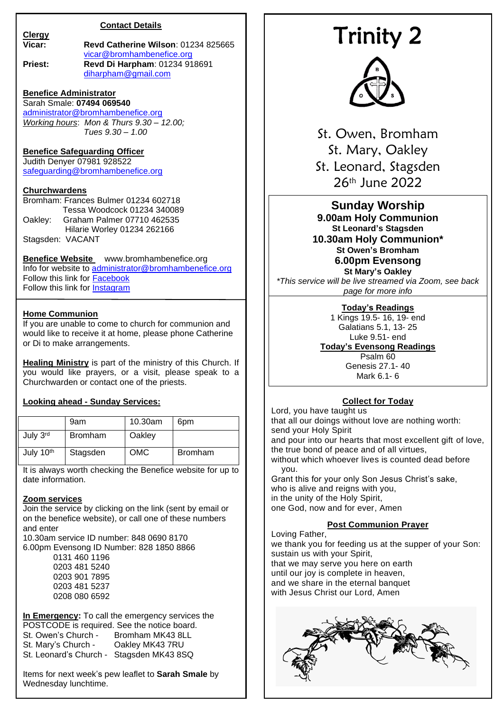# **Contact Details**

**Clergy**

#### **Vicar: Revd Catherine Wilson**: 01234 825665 [vicar@bromhambenefice.org](mailto:vicar@bromhambenefice.org) **Priest: Revd Di Harpham**: 01234 918691 [diharpham@gmail.com](mailto:diharpham@gmail.com)

# **Benefice Administrator**

Sarah Smale: **07494 069540** [administrator@bromhambenefice.org](mailto:administrator@bromhambenefice.org) *Working hours*: *Mon & Thurs 9.30 – 12.00; Tues 9.30 – 1.00*

# **Benefice Safeguarding Officer**

Judith Denyer 07981 928522 [safeguarding@bromhambenefice.org](mailto:safeguarding@bromhambenefice.org)

## **Churchwardens**

Bromham: Frances Bulmer 01234 602718 Tessa Woodcock 01234 340089<br>Oakley: Graham Palmer 07710 462535 Graham Palmer 07710 462535 Hilarie Worley 01234 262166 Stagsden: VACANT

## **Benefice Website** www.bromhambenefice.org

Info for website to [administrator@bromhambenefice.org](mailto:administrator@bromhambenefice.org) Follow this link for [Facebook](https://www.facebook.com/cofebeneficebromhamoakleystagsden) Follow this link for [Instagram](https://www.instagram.com/bromhambenefice/)

## **Home Communion**

If you are unable to come to church for communion and would like to receive it at home, please phone Catherine or Di to make arrangements.

**Healing Ministry** is part of the ministry of this Church. If you would like prayers, or a visit, please speak to a Churchwarden or contact one of the priests.

#### **Looking ahead - Sunday Services:**

|                       | 9am            | 10.30am    | 6pm            |
|-----------------------|----------------|------------|----------------|
| July 3rd              | <b>Bromham</b> | Oakley     |                |
| July 10 <sup>th</sup> | Stagsden       | <b>OMC</b> | <b>Bromham</b> |

It is always worth checking the Benefice website for up to date information.

### **Zoom services**

Join the service by clicking on the link (sent by email or on the benefice website), or call one of these numbers and enter

10.30am service ID number: 848 0690 8170 6.00pm Evensong ID Number: 828 1850 8866

> 0131 460 1196 0203 481 5240 0203 901 7895 0203 481 5237 0208 080 6592

**In Emergency:** To call the emergency services the POSTCODE is required. See the notice board.<br>St. Owen's Church - Bromham MK43 8LL St. Owen's Church - Bromham MK43 8LL<br>St. Marv's Church - Oakley MK43 7RU Oakley MK43 7RU

St. Leonard's Church - Stagsden MK43 8SQ

Items for next week's pew leaflet to **Sarah Smale** by Wednesday lunchtime.

# Trinity 2



St. Owen, Bromham St. Mary, Oakley St. Leonard, Stagsden 26th June 2022

**Sunday Worship 9.00am Holy Communion St Leonard's Stagsden 10.30am Holy Communion\* St Owen's Bromham 6.00pm Evensong**

**St Mary's Oakley** *\*This service will be live streamed via Zoom, see back page for more info*

# **Today's Readings**

1 Kings 19.5- 16, 19- end Galatians 5.1, 13- 25 Luke 9.51- end

# **Today's Evensong Readings**

Psalm 60 Genesis 27.1- 40 Mark 6.1- 6

# **Collect for Today**

Lord, you have taught us that all our doings without love are nothing worth: send your Holy Spirit and pour into our hearts that most excellent gift of love, the true bond of peace and of all virtues, without which whoever lives is counted dead before you. Grant this for your only Son Jesus Christ's sake, who is alive and reigns with you, in the unity of the Holy Spirit, one God, now and for ever, Amen

# **Post Communion Prayer**

Loving Father, we thank you for feeding us at the supper of your Son: sustain us with your Spirit, that we may serve you here on earth until our joy is complete in heaven, and we share in the eternal banquet with Jesus Christ our Lord, Amen